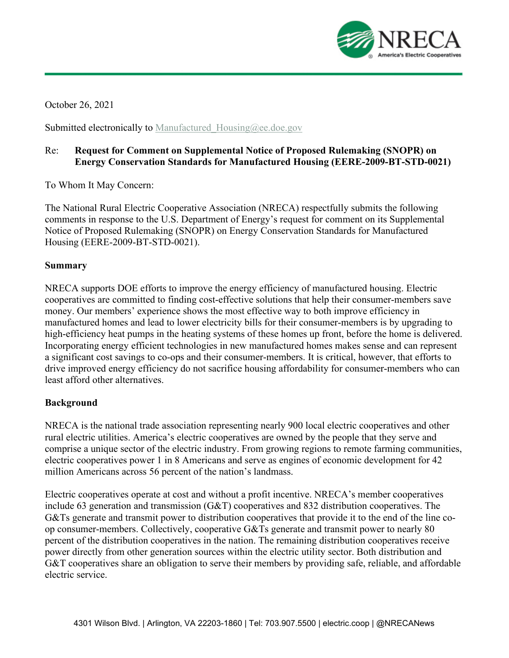

October 26, 2021

Submitted electronically to Manufactured Housing@ee.doe.gov

## Re: **Request for Comment on Supplemental Notice of Proposed Rulemaking (SNOPR) on Energy Conservation Standards for Manufactured Housing (EERE-2009-BT-STD-0021)**

To Whom It May Concern:

The National Rural Electric Cooperative Association (NRECA) respectfully submits the following comments in response to the U.S. Department of Energy's request for comment on its Supplemental Notice of Proposed Rulemaking (SNOPR) on Energy Conservation Standards for Manufactured Housing (EERE-2009-BT-STD-0021).

#### **Summary**

NRECA supports DOE efforts to improve the energy efficiency of manufactured housing. Electric cooperatives are committed to finding cost-effective solutions that help their consumer-members save money. Our members' experience shows the most effective way to both improve efficiency in manufactured homes and lead to lower electricity bills for their consumer-members is by upgrading to high-efficiency heat pumps in the heating systems of these homes up front, before the home is delivered. Incorporating energy efficient technologies in new manufactured homes makes sense and can represent a significant cost savings to co-ops and their consumer-members. It is critical, however, that efforts to drive improved energy efficiency do not sacrifice housing affordability for consumer-members who can least afford other alternatives.

#### **Background**

NRECA is the national trade association representing nearly 900 local electric cooperatives and other rural electric utilities. America's electric cooperatives are owned by the people that they serve and comprise a unique sector of the electric industry. From growing regions to remote farming communities, electric cooperatives power 1 in 8 Americans and serve as engines of economic development for 42 million Americans across 56 percent of the nation's landmass.

Electric cooperatives operate at cost and without a profit incentive. NRECA's member cooperatives include 63 generation and transmission (G&T) cooperatives and 832 distribution cooperatives. The G&Ts generate and transmit power to distribution cooperatives that provide it to the end of the line coop consumer-members. Collectively, cooperative G&Ts generate and transmit power to nearly 80 percent of the distribution cooperatives in the nation. The remaining distribution cooperatives receive power directly from other generation sources within the electric utility sector. Both distribution and G&T cooperatives share an obligation to serve their members by providing safe, reliable, and affordable electric service.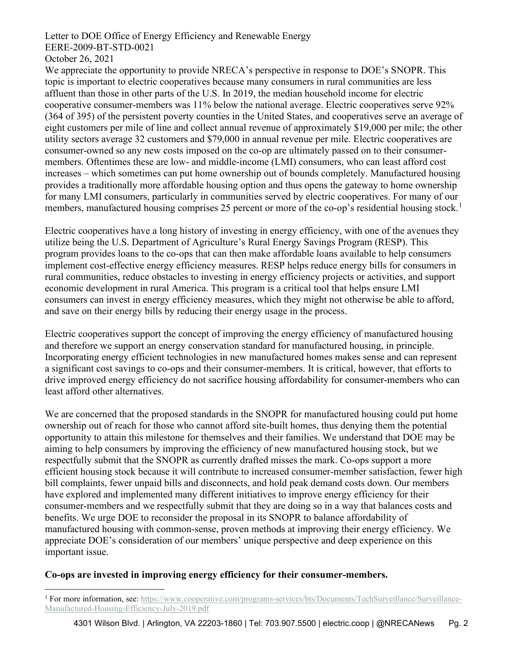Letter to DOE Office of Energy Efficiency and Renewable Energy EERE-2009-BT-STD-0021

October 26, 2021

We appreciate the opportunity to provide NRECA's perspective in response to DOE's SNOPR. This topic is important to electric cooperatives because many consumers in rural communities are less affluent than those in other parts of the U.S. In 2019, the median household income for electric cooperative consumer-members was 11% below the national average. Electric cooperatives serve 92% (364 of 395) of the persistent poverty counties in the United States, and cooperatives serve an average of eight customers per mile of line and collect annual revenue of approximately \$19,000 per mile; the other utility sectors average 32 customers and \$79,000 in annual revenue per mile. Electric cooperatives are consumer-owned so any new costs imposed on the co-op are ultimately passed on to their consumermembers. Oftentimes these are low- and middle-income (LMI) consumers, who can least afford cost increases – which sometimes can put home ownership out of bounds completely. Manufactured housing provides a traditionally more affordable housing option and thus opens the gateway to home ownership for many LMI consumers, particularly in communities served by electric cooperatives. For many of our members, manufactured housing comprises 25 percent or more of the co-op's residential housing stock.<sup>[1](#page-1-0)</sup>

Electric cooperatives have a long history of investing in energy efficiency, with one of the avenues they utilize being the U.S. Department of Agriculture's Rural Energy Savings Program (RESP). This program provides loans to the co-ops that can then make affordable loans available to help consumers implement cost-effective energy efficiency measures. RESP helps reduce energy bills for consumers in rural communities, reduce obstacles to investing in energy efficiency projects or activities, and support economic development in rural America. This program is a critical tool that helps ensure LMI consumers can invest in energy efficiency measures, which they might not otherwise be able to afford, and save on their energy bills by reducing their energy usage in the process.

Electric cooperatives support the concept of improving the energy efficiency of manufactured housing and therefore we support an energy conservation standard for manufactured housing, in principle. Incorporating energy efficient technologies in new manufactured homes makes sense and can represent a significant cost savings to co-ops and their consumer-members. It is critical, however, that efforts to drive improved energy efficiency do not sacrifice housing affordability for consumer-members who can least afford other alternatives.

We are concerned that the proposed standards in the SNOPR for manufactured housing could put home ownership out of reach for those who cannot afford site-built homes, thus denying them the potential opportunity to attain this milestone for themselves and their families. We understand that DOE may be aiming to help consumers by improving the efficiency of new manufactured housing stock, but we respectfully submit that the SNOPR as currently drafted misses the mark. Co-ops support a more efficient housing stock because it will contribute to increased consumer-member satisfaction, fewer high bill complaints, fewer unpaid bills and disconnects, and hold peak demand costs down. Our members have explored and implemented many different initiatives to improve energy efficiency for their consumer-members and we respectfully submit that they are doing so in a way that balances costs and benefits. We urge DOE to reconsider the proposal in its SNOPR to balance affordability of manufactured housing with common-sense, proven methods at improving their energy efficiency. We appreciate DOE's consideration of our members' unique perspective and deep experience on this important issue.

#### **Co-ops are invested in improving energy efficiency for their consumer-members.**

<span id="page-1-0"></span><sup>&</sup>lt;sup>1</sup> For more information, see[: https://www.cooperative.com/programs-services/bts/Documents/TechSurveillance/Surveillance-](https://www.cooperative.com/programs-services/bts/Documents/TechSurveillance/Surveillance-Manufactured-Housing-Efficiency-July-2019.pdf)[Manufactured-Housing-Efficiency-July-2019.pdf](https://www.cooperative.com/programs-services/bts/Documents/TechSurveillance/Surveillance-Manufactured-Housing-Efficiency-July-2019.pdf)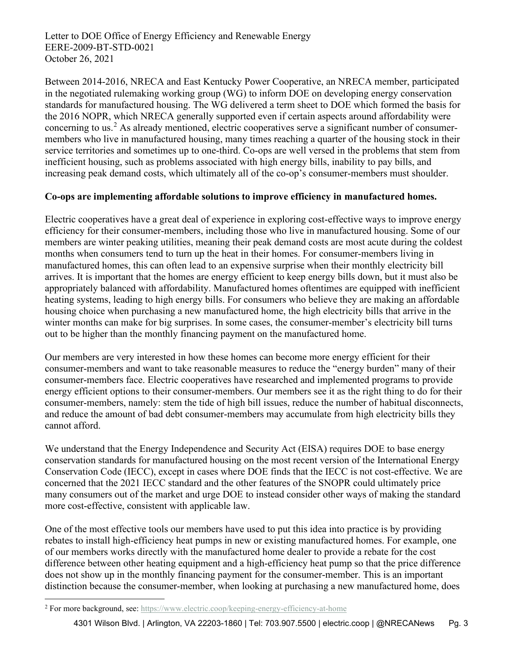Letter to DOE Office of Energy Efficiency and Renewable Energy EERE-2009-BT-STD-0021 October 26, 2021

Between 2014-2016, NRECA and East Kentucky Power Cooperative, an NRECA member, participated in the negotiated rulemaking working group (WG) to inform DOE on developing energy conservation standards for manufactured housing. The WG delivered a term sheet to DOE which formed the basis for the 2016 NOPR, which NRECA generally supported even if certain aspects around affordability were concerning to us.<sup>[2](#page-2-0)</sup> As already mentioned, electric cooperatives serve a significant number of consumermembers who live in manufactured housing, many times reaching a quarter of the housing stock in their service territories and sometimes up to one-third. Co-ops are well versed in the problems that stem from inefficient housing, such as problems associated with high energy bills, inability to pay bills, and increasing peak demand costs, which ultimately all of the co-op's consumer-members must shoulder.

## **Co-ops are implementing affordable solutions to improve efficiency in manufactured homes.**

Electric cooperatives have a great deal of experience in exploring cost-effective ways to improve energy efficiency for their consumer-members, including those who live in manufactured housing. Some of our members are winter peaking utilities, meaning their peak demand costs are most acute during the coldest months when consumers tend to turn up the heat in their homes. For consumer-members living in manufactured homes, this can often lead to an expensive surprise when their monthly electricity bill arrives. It is important that the homes are energy efficient to keep energy bills down, but it must also be appropriately balanced with affordability. Manufactured homes oftentimes are equipped with inefficient heating systems, leading to high energy bills. For consumers who believe they are making an affordable housing choice when purchasing a new manufactured home, the high electricity bills that arrive in the winter months can make for big surprises. In some cases, the consumer-member's electricity bill turns out to be higher than the monthly financing payment on the manufactured home.

Our members are very interested in how these homes can become more energy efficient for their consumer-members and want to take reasonable measures to reduce the "energy burden" many of their consumer-members face. Electric cooperatives have researched and implemented programs to provide energy efficient options to their consumer-members. Our members see it as the right thing to do for their consumer-members, namely: stem the tide of high bill issues, reduce the number of habitual disconnects, and reduce the amount of bad debt consumer-members may accumulate from high electricity bills they cannot afford.

We understand that the Energy Independence and Security Act (EISA) requires DOE to base energy conservation standards for manufactured housing on the most recent version of the International Energy Conservation Code (IECC), except in cases where DOE finds that the IECC is not cost-effective. We are concerned that the 2021 IECC standard and the other features of the SNOPR could ultimately price many consumers out of the market and urge DOE to instead consider other ways of making the standard more cost-effective, consistent with applicable law.

One of the most effective tools our members have used to put this idea into practice is by providing rebates to install high-efficiency heat pumps in new or existing manufactured homes. For example, one of our members works directly with the manufactured home dealer to provide a rebate for the cost difference between other heating equipment and a high-efficiency heat pump so that the price difference does not show up in the monthly financing payment for the consumer-member. This is an important distinction because the consumer-member, when looking at purchasing a new manufactured home, does

<span id="page-2-0"></span><sup>&</sup>lt;sup>2</sup> For more background, see[: https://www.electric.coop/keeping-energy-efficiency-at-home](https://www.electric.coop/keeping-energy-efficiency-at-home)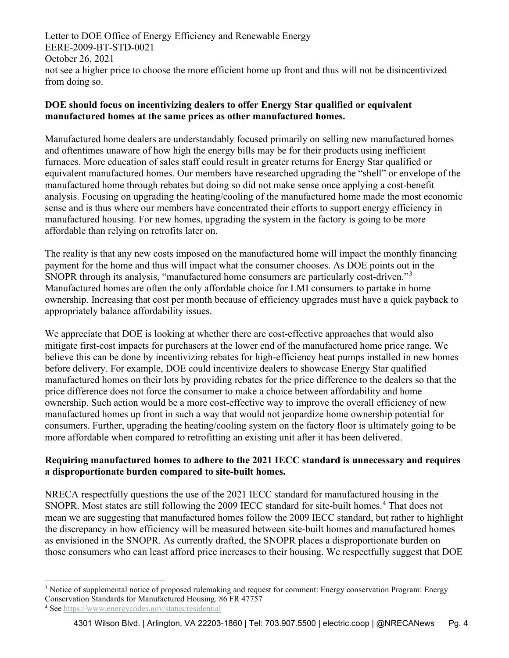Letter to DOE Office of Energy Efficiency and Renewable Energy EERE-2009-BT-STD-0021 October 26, 2021 not see a higher price to choose the more efficient home up front and thus will not be disincentivized from doing so.

# **DOE should focus on incentivizing dealers to offer Energy Star qualified or equivalent manufactured homes at the same prices as other manufactured homes.**

Manufactured home dealers are understandably focused primarily on selling new manufactured homes and oftentimes unaware of how high the energy bills may be for their products using inefficient furnaces. More education of sales staff could result in greater returns for Energy Star qualified or equivalent manufactured homes. Our members have researched upgrading the "shell" or envelope of the manufactured home through rebates but doing so did not make sense once applying a cost-benefit analysis. Focusing on upgrading the heating/cooling of the manufactured home made the most economic sense and is thus where our members have concentrated their efforts to support energy efficiency in manufactured housing. For new homes, upgrading the system in the factory is going to be more affordable than relying on retrofits later on.

The reality is that any new costs imposed on the manufactured home will impact the monthly financing payment for the home and thus will impact what the consumer chooses. As DOE points out in the SNOPR through its analysis, "manufactured home consumers are particularly cost-driven."[3](#page-3-0) Manufactured homes are often the only affordable choice for LMI consumers to partake in home ownership. Increasing that cost per month because of efficiency upgrades must have a quick payback to appropriately balance affordability issues.

We appreciate that DOE is looking at whether there are cost-effective approaches that would also mitigate first-cost impacts for purchasers at the lower end of the manufactured home price range. We believe this can be done by incentivizing rebates for high-efficiency heat pumps installed in new homes before delivery. For example, DOE could incentivize dealers to showcase Energy Star qualified manufactured homes on their lots by providing rebates for the price difference to the dealers so that the price difference does not force the consumer to make a choice between affordability and home ownership. Such action would be a more cost-effective way to improve the overall efficiency of new manufactured homes up front in such a way that would not jeopardize home ownership potential for consumers. Further, upgrading the heating/cooling system on the factory floor is ultimately going to be more affordable when compared to retrofitting an existing unit after it has been delivered.

## **Requiring manufactured homes to adhere to the 2021 IECC standard is unnecessary and requires a disproportionate burden compared to site-built homes.**

NRECA respectfully questions the use of the 2021 IECC standard for manufactured housing in the SNOPR. Most states are still following the 2009 IECC standard for site-built homes. [4](#page-3-1) That does not mean we are suggesting that manufactured homes follow the 2009 IECC standard, but rather to highlight the discrepancy in how efficiency will be measured between site-built homes and manufactured homes as envisioned in the SNOPR. As currently drafted, the SNOPR places a disproportionate burden on those consumers who can least afford price increases to their housing. We respectfully suggest that DOE

<span id="page-3-0"></span><sup>&</sup>lt;sup>3</sup> Notice of supplemental notice of proposed rulemaking and request for comment: Energy conservation Program: Energy Conservation Standards for Manufactured Housing. 86 FR 47757

<span id="page-3-1"></span><sup>4</sup> Se[e https://www.energycodes.gov/status/residential](https://www.energycodes.gov/status/residential)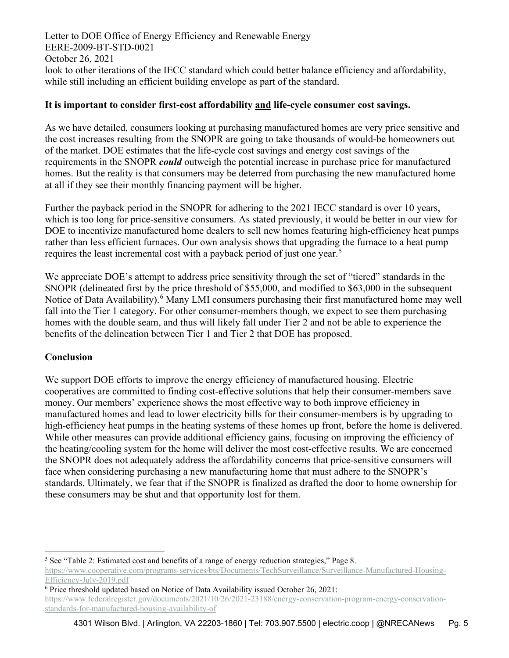Letter to DOE Office of Energy Efficiency and Renewable Energy EERE-2009-BT-STD-0021 October 26, 2021 look to other iterations of the IECC standard which could better balance efficiency and affordability, while still including an efficient building envelope as part of the standard.

#### **It is important to consider first-cost affordability and life-cycle consumer cost savings.**

As we have detailed, consumers looking at purchasing manufactured homes are very price sensitive and the cost increases resulting from the SNOPR are going to take thousands of would-be homeowners out of the market. DOE estimates that the life-cycle cost savings and energy cost savings of the requirements in the SNOPR *could* outweigh the potential increase in purchase price for manufactured homes. But the reality is that consumers may be deterred from purchasing the new manufactured home at all if they see their monthly financing payment will be higher.

Further the payback period in the SNOPR for adhering to the 2021 IECC standard is over 10 years, which is too long for price-sensitive consumers. As stated previously, it would be better in our view for DOE to incentivize manufactured home dealers to sell new homes featuring high-efficiency heat pumps rather than less efficient furnaces. Our own analysis shows that upgrading the furnace to a heat pump requires the least incremental cost with a payback period of just one year.<sup>[5](#page-4-0)</sup>

We appreciate DOE's attempt to address price sensitivity through the set of "tiered" standards in the SNOPR (delineated first by the price threshold of \$55,000, and modified to \$63,000 in the subsequent Notice of Data Availability).<sup>[6](#page-4-1)</sup> Many LMI consumers purchasing their first manufactured home may well fall into the Tier 1 category. For other consumer-members though, we expect to see them purchasing homes with the double seam, and thus will likely fall under Tier 2 and not be able to experience the benefits of the delineation between Tier 1 and Tier 2 that DOE has proposed.

## **Conclusion**

We support DOE efforts to improve the energy efficiency of manufactured housing. Electric cooperatives are committed to finding cost-effective solutions that help their consumer-members save money. Our members' experience shows the most effective way to both improve efficiency in manufactured homes and lead to lower electricity bills for their consumer-members is by upgrading to high-efficiency heat pumps in the heating systems of these homes up front, before the home is delivered. While other measures can provide additional efficiency gains, focusing on improving the efficiency of the heating/cooling system for the home will deliver the most cost-effective results. We are concerned the SNOPR does not adequately address the affordability concerns that price-sensitive consumers will face when considering purchasing a new manufacturing home that must adhere to the SNOPR's standards. Ultimately, we fear that if the SNOPR is finalized as drafted the door to home ownership for these consumers may be shut and that opportunity lost for them.

<span id="page-4-0"></span><sup>5</sup> See "Table 2: Estimated cost and benefits of a range of energy reduction strategies," Page 8. [https://www.cooperative.com/programs-services/bts/Documents/TechSurveillance/Surveillance-Manufactured-Housing-](https://www.cooperative.com/programs-services/bts/Documents/TechSurveillance/Surveillance-Manufactured-Housing-Efficiency-July-2019.pdf)[Efficiency-July-2019.pdf](https://www.cooperative.com/programs-services/bts/Documents/TechSurveillance/Surveillance-Manufactured-Housing-Efficiency-July-2019.pdf)

<span id="page-4-1"></span> $6$  Price threshold updated based on Notice of Data Availability issued October 26, 2021: [https://www.federalregister.gov/documents/2021/10/26/2021-23188/energy-conservation-program-energy-conservation](https://www.federalregister.gov/documents/2021/10/26/2021-23188/energy-conservation-program-energy-conservation-standards-for-manufactured-housing-availability-of)[standards-for-manufactured-housing-availability-of](https://www.federalregister.gov/documents/2021/10/26/2021-23188/energy-conservation-program-energy-conservation-standards-for-manufactured-housing-availability-of)